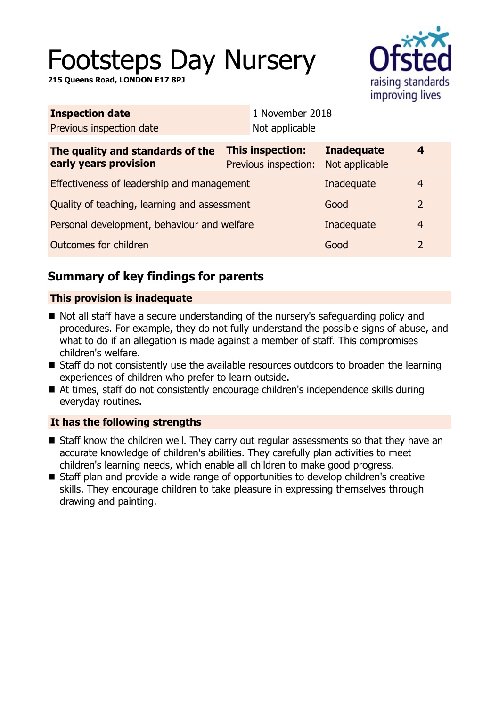# Footsteps Day Nursery

**215 Queens Road, LONDON E17 8PJ**



| 1 November 2018                                 |                                     |                                  |
|-------------------------------------------------|-------------------------------------|----------------------------------|
| Not applicable                                  |                                     |                                  |
| <b>This inspection:</b><br>Previous inspection: | <b>Inadequate</b><br>Not applicable | 4                                |
| Effectiveness of leadership and management      |                                     | 4                                |
| Quality of teaching, learning and assessment    |                                     | $\overline{2}$                   |
| Personal development, behaviour and welfare     |                                     | $\overline{4}$                   |
|                                                 | Good                                | $\overline{2}$                   |
|                                                 |                                     | Inadequate<br>Good<br>Inadequate |

# **Summary of key findings for parents**

## **This provision is inadequate**

- Not all staff have a secure understanding of the nursery's safeguarding policy and procedures. For example, they do not fully understand the possible signs of abuse, and what to do if an allegation is made against a member of staff. This compromises children's welfare.
- Staff do not consistently use the available resources outdoors to broaden the learning experiences of children who prefer to learn outside.
- At times, staff do not consistently encourage children's independence skills during everyday routines.

### **It has the following strengths**

- $\blacksquare$  Staff know the children well. They carry out regular assessments so that they have an accurate knowledge of children's abilities. They carefully plan activities to meet children's learning needs, which enable all children to make good progress.
- Staff plan and provide a wide range of opportunities to develop children's creative skills. They encourage children to take pleasure in expressing themselves through drawing and painting.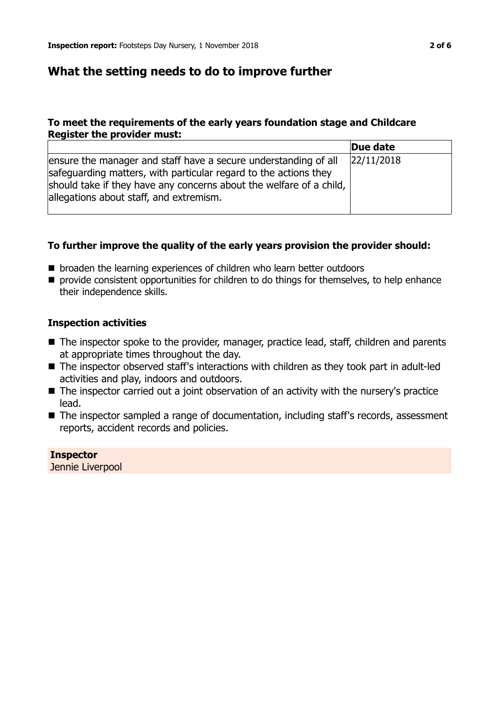# **What the setting needs to do to improve further**

#### **To meet the requirements of the early years foundation stage and Childcare Register the provider must:**

|                                                                                                                                                                                                                                                       | Due date   |
|-------------------------------------------------------------------------------------------------------------------------------------------------------------------------------------------------------------------------------------------------------|------------|
| ensure the manager and staff have a secure understanding of all<br>safeguarding matters, with particular regard to the actions they<br>should take if they have any concerns about the welfare of a child,<br>allegations about staff, and extremism. | 22/11/2018 |

#### **To further improve the quality of the early years provision the provider should:**

- broaden the learning experiences of children who learn better outdoors
- $\blacksquare$  provide consistent opportunities for children to do things for themselves, to help enhance their independence skills.

#### **Inspection activities**

- The inspector spoke to the provider, manager, practice lead, staff, children and parents at appropriate times throughout the day.
- The inspector observed staff's interactions with children as they took part in adult-led activities and play, indoors and outdoors.
- The inspector carried out a joint observation of an activity with the nursery's practice lead.
- The inspector sampled a range of documentation, including staff's records, assessment reports, accident records and policies.

**Inspector** Jennie Liverpool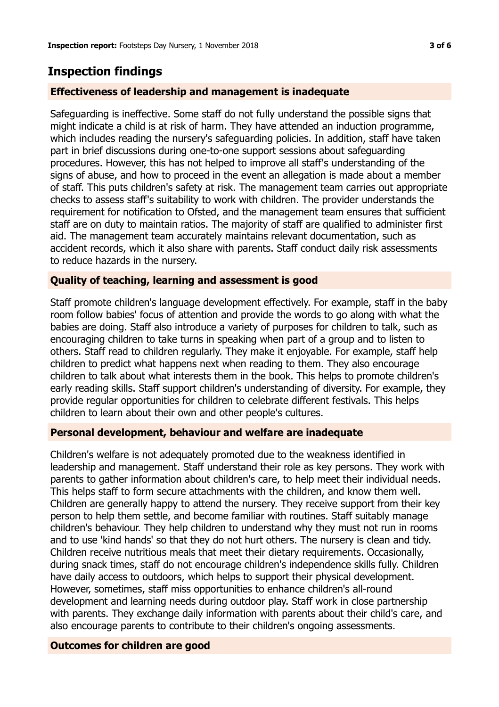# **Inspection findings**

#### **Effectiveness of leadership and management is inadequate**

Safeguarding is ineffective. Some staff do not fully understand the possible signs that might indicate a child is at risk of harm. They have attended an induction programme, which includes reading the nursery's safeguarding policies. In addition, staff have taken part in brief discussions during one-to-one support sessions about safeguarding procedures. However, this has not helped to improve all staff's understanding of the signs of abuse, and how to proceed in the event an allegation is made about a member of staff. This puts children's safety at risk. The management team carries out appropriate checks to assess staff's suitability to work with children. The provider understands the requirement for notification to Ofsted, and the management team ensures that sufficient staff are on duty to maintain ratios. The majority of staff are qualified to administer first aid. The management team accurately maintains relevant documentation, such as accident records, which it also share with parents. Staff conduct daily risk assessments to reduce hazards in the nursery.

#### **Quality of teaching, learning and assessment is good**

Staff promote children's language development effectively. For example, staff in the baby room follow babies' focus of attention and provide the words to go along with what the babies are doing. Staff also introduce a variety of purposes for children to talk, such as encouraging children to take turns in speaking when part of a group and to listen to others. Staff read to children regularly. They make it enjoyable. For example, staff help children to predict what happens next when reading to them. They also encourage children to talk about what interests them in the book. This helps to promote children's early reading skills. Staff support children's understanding of diversity. For example, they provide regular opportunities for children to celebrate different festivals. This helps children to learn about their own and other people's cultures.

#### **Personal development, behaviour and welfare are inadequate**

Children's welfare is not adequately promoted due to the weakness identified in leadership and management. Staff understand their role as key persons. They work with parents to gather information about children's care, to help meet their individual needs. This helps staff to form secure attachments with the children, and know them well. Children are generally happy to attend the nursery. They receive support from their key person to help them settle, and become familiar with routines. Staff suitably manage children's behaviour. They help children to understand why they must not run in rooms and to use 'kind hands' so that they do not hurt others. The nursery is clean and tidy. Children receive nutritious meals that meet their dietary requirements. Occasionally, during snack times, staff do not encourage children's independence skills fully. Children have daily access to outdoors, which helps to support their physical development. However, sometimes, staff miss opportunities to enhance children's all-round development and learning needs during outdoor play. Staff work in close partnership with parents. They exchange daily information with parents about their child's care, and also encourage parents to contribute to their children's ongoing assessments.

#### **Outcomes for children are good**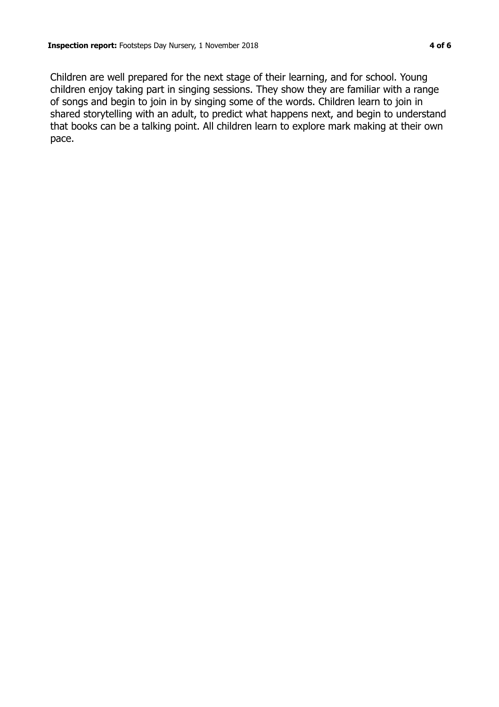Children are well prepared for the next stage of their learning, and for school. Young children enjoy taking part in singing sessions. They show they are familiar with a range of songs and begin to join in by singing some of the words. Children learn to join in shared storytelling with an adult, to predict what happens next, and begin to understand that books can be a talking point. All children learn to explore mark making at their own pace.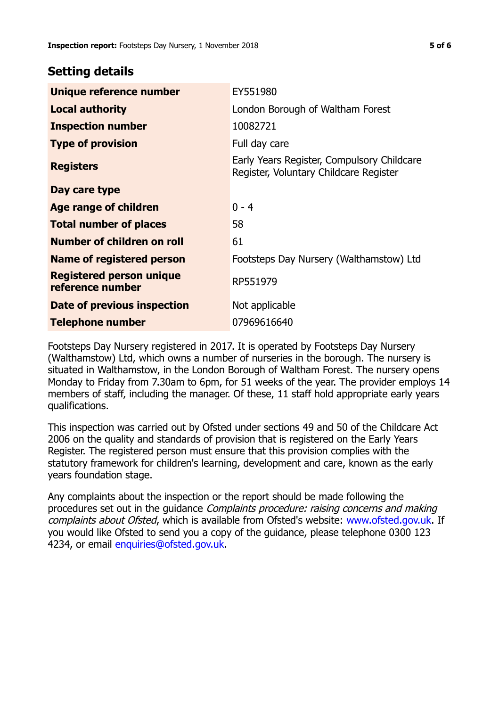## **Setting details**

| Unique reference number                             | EY551980                                                                             |
|-----------------------------------------------------|--------------------------------------------------------------------------------------|
| <b>Local authority</b>                              | London Borough of Waltham Forest                                                     |
| <b>Inspection number</b>                            | 10082721                                                                             |
| <b>Type of provision</b>                            | Full day care                                                                        |
| <b>Registers</b>                                    | Early Years Register, Compulsory Childcare<br>Register, Voluntary Childcare Register |
| Day care type                                       |                                                                                      |
| <b>Age range of children</b>                        | $0 - 4$                                                                              |
| <b>Total number of places</b>                       | 58                                                                                   |
| Number of children on roll                          | 61                                                                                   |
| <b>Name of registered person</b>                    | Footsteps Day Nursery (Walthamstow) Ltd                                              |
| <b>Registered person unique</b><br>reference number | RP551979                                                                             |
| Date of previous inspection                         | Not applicable                                                                       |
| <b>Telephone number</b>                             | 07969616640                                                                          |

Footsteps Day Nursery registered in 2017. It is operated by Footsteps Day Nursery (Walthamstow) Ltd, which owns a number of nurseries in the borough. The nursery is situated in Walthamstow, in the London Borough of Waltham Forest. The nursery opens Monday to Friday from 7.30am to 6pm, for 51 weeks of the year. The provider employs 14 members of staff, including the manager. Of these, 11 staff hold appropriate early years qualifications.

This inspection was carried out by Ofsted under sections 49 and 50 of the Childcare Act 2006 on the quality and standards of provision that is registered on the Early Years Register. The registered person must ensure that this provision complies with the statutory framework for children's learning, development and care, known as the early years foundation stage.

Any complaints about the inspection or the report should be made following the procedures set out in the guidance Complaints procedure: raising concerns and making complaints about Ofsted, which is available from Ofsted's website: www.ofsted.gov.uk. If you would like Ofsted to send you a copy of the guidance, please telephone 0300 123 4234, or email [enquiries@ofsted.gov.uk.](mailto:enquiries@ofsted.gov.uk)